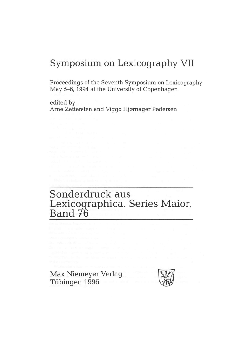# Symposium on Lexicography VII

Proceedings of the Seventh Symposium on Lexicography May 5-6, 1994 at the University of Copenhagen

edited by Arne Zettersten and Viggo Hjørnager Pedersen

# Sonderdruck aus Lexicographica. Series Maior,<br>Band 76

Max Niemeyer Verlag Tübingen 1996

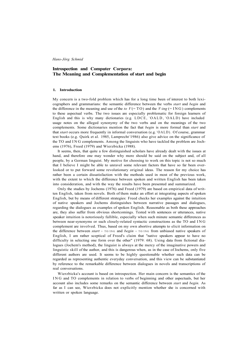# **Introspection and Computer Corpora: The Meaning and Complementation of start and begin**

#### **1. Introduction**

My concern is a two-fold problem which has for a long time been of interest to both lexicographers and grammarians: the semantic difference between the verbs *start* and *begin* and the difference in the meaning and use of the *to*  $V = TO$  and the *V-ing* ( $= ING$ ) complements to these aspectual verbs. The two issues are especially problematic for foreign learners of English and this is why many dictionaries (e.g. LDCE, 'OALD, 'OALD) have included usage notes on the alleged synonymy of the two verbs and on the meanings of the two complements. Some dictionaries mention the fact that *begin* is more formal than *start* and that *start* occurs more frequently in informal conversation (e.g. <sup>4</sup>OALD). Of course, grammar text books (e.g. Quirk et al. 1985, Lamprecht <sup>6</sup>1986) also give advice on the significance of the TO and IN G complements. Among the linguists who have tackled the problem are Jochems (1976), Freed (1979) and Wierzbicka (1988).

It seems, then, that quite a few distinguished scholars have already dealt with the issues at hand, and therefore one may wonder why more should be said on the subject and, of all people, by a German linguist. My motive for choosing to work on this topic is not so much that I believe I might be able to unravel some relevant factors that have so far been overlooked or to put forward some revolutionary original ideas. The reason for my choice has rather been a certain dissatisfaction with the methods used in most of the previous work, with the extent to which the difference between spoken and written English has been taken into consideration, and with the way the results have been presented and summarized.

Only the studies by Jochems (1976) and Freed (1979) are based on empirical data of written English, taken from novels. Both of them make an effort at integrating aspects of spoken English, but by means of different strategies: Freed checks her examples against the intuition of native speakers and Jochems distinguishes between narrative passages and dialogues, regarding the dialogues as examples of spoken English. Reasonable as both these approaches are, they also suffer from obvious shortcomings. Tested with sentences or utterances, native speaker intuition is notoriously fallible, especially when such minute semantic differences as between near-synonyms or such closely-related syntactic constructions as the TO and IN G complement are involved. Thus, based on my own abortive attempts to elicit information on the difference between *start* + TO/ING and *begin* + TO/ING from unbiased native speakers of English, I am rather sceptical of Freed's claim that "native speakers appear to have no difficulty in selecting one form over the other" (1979: 68). Using data from fictional dialogues (Jochem's method), the linguist is always at the mercy of the imaginative powers and linguistic skill of the author, and this is dangerous when, as in the case of Jochems, only five different authors are used. It seems to be highly questionable whether such data can be regarded as representing authentic everyday conversation, and this view can be substantiated by reference to the remarkable difference between dialogues in novels and transcriptions of real conversations.

Wierzbicka's account is based on introspection. Her main concern is the semantics of the I N G and TO complements in relation to verbs of beginning and other aspectuals, but her account also includes some remarks on the semantic difference between *start* and *begin.* As far as I can see, Wierzbicka does not explicitly mention whether she is concerned with written or spoken language.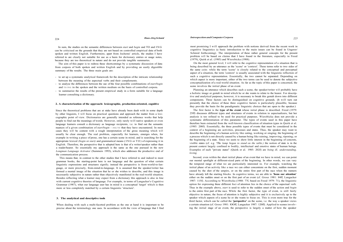The aim of this paper is to redress these shortcomings by a systematic discussion of data from corpora of both spoken and written English and by providing an easily digestible summary of the results. The three main goals are:

In sum, the studies on the semantic differences between *start* and *begin* and TO and IN G can be criticised on the grounds that they are not based on controlled empirical data of both spoken and written English. Furthermore, apart from Jochems' article, the studies I have referred to are clearly not suitable for use as a basis for dictionary entries or usage notes, because they are too theoretical in nature and do not provide tangible summaries.

- to set up a systematic analytical framework for the description of the intricate relationship between the meaning of the aspectual verbs and their complements.
- to analyse the differences between the use of the four possible combinations of *start/begin*  and  $TO/ING$  in the spoken and the written medium on the basis of controlled corpora.
- to summarize the results of the present empirical study in a form suitable for a language learner consulting a dictionary.

#### **2. A characterization of the approach: lexicographic, production-oriented, cognitive**

Since the theoretical problems that are at stake have already been dealt with in some depth by other linguists, I will focus on practical questions and approach the matter from a lexicographic point of view. Dictionaries are generally intended as reference works that help people to find out the meanings of words. However, only rarely will native speakers or even language learners consult a dictionary as language recipients, i.e. to find out the semantic nuances of a given combination of *start/begin* + ING/T0 that they have encountered. In most cases they will be content with a rough interpretation of the gross meaning which will usually be clear enough. The real problem, especially for learners, emerges when, for example in writing a piece of prose, one has a certain scene in mind, and is searching for the appropriate lexical *(begin* or *start)* and grammatical means (IN G or TO ) of expressing it in English. Therefore, the perspective that is adopted here is that of a writer/speaker rather than a reader/hearer. So essentially my approach is the same as the one pursued in the new *Longman Language Activator* (Summers 1993), which also addresses the productive end of the communication process.

This means that, in contrast to the other studies that I have referred to and indeed to most grammar books, the starting-point here is not language and the question of what certain linguistic expressions and structures signify; instead the perspective is from-world-to-language, or more precisely, from-mind-to-language. It is assumed that the speaker/writer has formed a mental image of the situation that he or she wishes to describe, and this image is necessarily subjective in nature rather than objectively manifested in the real-world situation. Besides reflecting what a learner may expect from a dictionary this approach is also in line with current cognitive theories of language. For example, in terms of Langacker's Cognitive Grammar (1987), what our language user has in mind is a conceptual 'target' which is then more or less completely matched by a certain linguistic 'structure'.

#### **3. The analytical and descriptive tools**

When dealing with such a multi-facetted problem as the one at hand it is important to be precise about the terminology one uses. In accordance with the view of language that I find

most promising I will approach the problem with notions derived from the recent work in cognitive linguistics (a basic introduction to the main issues can be found in Ungerer/ Schmid forthcoming). The interpretation of these rather general concepts for the present problem will be based on claims that I have found in the literature, especially in Freed (1979), Quirk et al. (1985) and Wierzbicka (1988).

On the most general level, I will refer to the cognitive representation of a situation that is being described by an utterance as the 'scene' or 'context'. These terms refer to two sides of the same coin: while the term 'scene' is closely related to the conceptual and perceptual aspect of a situation, the term 'context' is usually associated with the linguistic reflection of such a cognitive representation. Essentially, the two cannot be separated. Depending on which aspect is more important, either of the two terms can be used to denote the subjective conceptualization of a real-world situation. As far as the topic of this paper is concerned, the scene involves the initial phase of an event.

Planning an utterance which describes such a scene, the speaker/writer will probably have a holistic image or gestalt in mind which he or she wants to relate to the hearer. For descriptive and analytical purposes, however, it is necessary to break this gestalt down into different components. Three factors can be distinguished on cognitive grounds. (It will turn out presently that the choice of these three cognitive factors is particularly plausible, because they provide the basis for the paradigmatic linguistic choices that are open to the speaker.) The first factor is the **type of the event** whose initial phase is described. Freed (1979: 25ff) discusses different types and structures of events in relation to aspectualizers, but her analysis is too refined to be used for practical purposes. Wierzbicka does not provide a systematic differentiation of this parameter. The types of events used in this paper have therefore been extracted from the well-known classification of situation types in Quirk et al. (1985: 200f). Essentially, the three possible types of events that must be considered in the context of a beginning are activities, processes and states. Thus, the speaker may want to describe the beginning of a human activity like eating, working or singing; the beginning of a process which is not directly caused by a human being like raining, improving, ripening; or the beginning of a state. Since we seem to show little interest in the beginning of concrete, visible states (cf. e.g. ?*The lamp began to stand on the table.)* the notion of state is in the present context largely confined to bodily, intellectual and emotive states of human beings.

Examples of such "private states" (Quirk et al. 1985: 202f) are *being ill, understanding, loving.* 

Second, even within the short initial phase of an event that we have in mind, we can point our mental spotlight at different-sized parts of the beginning. In other words, we can vary the temporal range of what we are particularly interested in. For example, watching the initial phase of an activity like a race we can either concentrate on the first, sudden moment caused by the shot of the umpire, or on the entire first part of the race when the runners have already left the starting blocks. In cognitive terms, we are able to **'focus our attention'**  either on the sudden onset or on the first part of an event (cf. Grosz 1981: 84ff, Langacker 1987: 115f). According to Wierzbicka (1988: 77f, based on Freed 1979: 71), the linguistic option for expressing these different foci of attention lies in the choice of the aspectual verb. Thus in the example above, *start* is used to refer to the sudden onset of the action and *begin*  to the entire first part of the race. While the first factor, the type of event, is still fairly objective in nature, the focus of attention is highly subjective and it is exclusively up to the speaker which aspects of a scene he or she wants to focus on. This is even more true for the third factor, which can be called the **'perspective'** on the scene, i.e. the way a speaker views a certain situation (cf. Grosz 1981: lOOff, Langacker 1987: 120ff). Applied to scenes involving the initial stage of an event, the perspective is largely a matter of how the speaker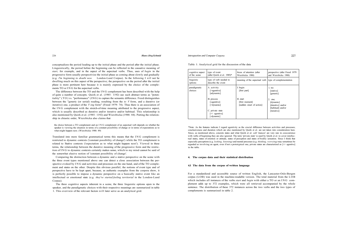Introspection and Computer Corpora

conceptualizes the period leading up to the initial phase and the period after the initial phase. Linguistically, the period before the beginning can be reflected in the causative meaning of *start,* for example, and in the aspect of the aspectual verbs. Thus, uses of *begin* in the progressive form usually perspectivize the initial phase as coming about slowly and gradually (e.g. *I'm beginning to doubt now* London-Lund Corpus). In the following I will not be dwelling much on this aspect of the perspective; the perspective on the period after the initial phase is more pertinent here because it is mainly expressed by the choice of the complements TO or IN G for the aspectual verbs.

The difference between the TO and the IN G complement has been described with the help of quite a number of concepts. Quirk et al. (1985: 1192) use such abstract terms as "potentiality" (TO ) vs. "performance" (ING) to capture the semantic difference. Freed distinguishes between the "generic (or serial) reading, resulting from the *to V* form, and a durative (or iterative) one, a product of the *V-ing* form" (Freed 1979: 74). Thus there is an association of the IN G complement with the stretch-of-time meaning attributed to the progressive aspect, which is usually described as durative and/or iterative and/or habitual. This relationship is also mentioned by Quirk et al. (1985: 1192) and Wierzbicka (1988: 84). Putting the relationship in chiastic order, Wierzbicka also claims that

the choice between a TO complement and an IN G complement of an aspectual verb depends on whether the speaker is viewing the situation in terms of a constant possibility of change or in terms of expectations as to what might happen next. (Wierzbicka 1988: 89)

Translated into more familiar grammatical terms this means that the IN G complement is restricted to dynamic contexts ('constant possibility of change') while the TO complement is related to Stative contexts ('expectation as to what might happen next'). Viewed in these terms, the relationship between the durative meaning of the progressive form and the restriction of IN G to dynamic contexts certainly makes sense, which to my mind cannot be said of the somewhat elusive notion of 'constant possibility of change'.

Comparing the distinction between a dynamic and a stative perspective on the scene with the three event types mentioned above one can detect a close association between the perspective evoked by IN G and activities and processes on the one hand, and of the TO complement and states on the other. Despite this obvious parallel, the notions of event type and of perspective have to be kept apart, because, as authentic examples from the corpora show, it is perfectly possible to impose a dynamic perspective on a basically stative event like an intellectual or emotional state (e.g. *they've started feeling territorial* in the London-Lund Corpus).

The three cognitive aspects inherent in a scene, the three linguistic options open to the speaker, and the paradigmatic choices with their respective meanings are summarized in table 1. This overview of the relevant factors will later serve as an analytical grid.

 $227$ 

#### Table 1: Analytical grid for the discussion of the data

| cognitive aspect<br>of the scene | type of event<br>(after Ouirk et al. $1985$ )*                                               | focus of attention (after<br>Wierzbicka 1988)           | perspective (after Freed 1979)<br>and Wierzbicka 1988)                         |
|----------------------------------|----------------------------------------------------------------------------------------------|---------------------------------------------------------|--------------------------------------------------------------------------------|
| linguistic<br>options            | type of verb needed to<br>describe the event                                                 | meaning of the aspectual verb                           | type of complementation                                                        |
| paradigmatic<br>choices          | A. activitiv<br>[+agentive]<br>[adynamic]                                                    | I. begin<br>[first part]                                | 1. T <sub>O</sub><br>[stative]<br>[generic]                                    |
|                                  | B. process<br>[-agentive]<br>[+dynamic]<br>C. private state<br>$[+/$ agentive]<br>[-dynamic] | II. start<br>[first moment]<br>[sudden onset of action] | $2.$ ING<br>[dynamic]<br>[durative] and/or<br>[habitual] and/or<br>[iterative] |

\*Note: As the features indicate I regard agentivity as the crucial difference between activities and processes; conclusiveness and duration which are also mentioned by Quirk et al. are not taken into consideration here. Since, as mentioned above, concrete states and what Quirk et al. call 'stances' are very rare in cooccurrence with verbs of beginning they are also ignored. The term 'private state' is used by Quirk et al. to cover intellectual states, states of emotion or attitude, states of perception and states of bodily sensation. Since I think that especially perceptions (e.g. *looking, listening)* and mental processes (e.g. *thinking, worrying)* may sometimes be regarded as involving an agent, even if not a prototypical one, private states are characterized as [+/- agentive] in the table.

### **4. The corpus data and their statistical distribution**

#### **4.1 The data from the corpus of written language**

For a standardized and accessible source of written English, the Lancaster-Oslo-Bergen corpus (LOB) was used in the machine-readable version. The total material from the LOB which includes all instances of the verbs *start* and *begin* with either a TO or an IN G complement adds up to 372 examples, which were all retrieved accompanied by the whole sentence. The distribution of these 372 instances across the two verbs and the two types of complements is summarized in table 2.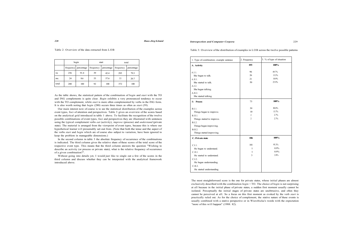Table 2: Overview of the data extracted from LOB

|                |     | begin                |           | start                   | total |            |  |
|----------------|-----|----------------------|-----------|-------------------------|-------|------------|--|
|                |     | frequency percentage | frequency | percentage<br>frequency |       | percentage |  |
| T <sub>0</sub> | 256 | 91.4                 | 39        | 42.4                    | 295   | 79.3       |  |
| <b>ING</b>     | 24  | 8.6                  | 53        | 57.6                    | 77    | 20.7       |  |
| total          | 280 | 100                  | 92        | 100                     | 372   | 100        |  |

As the table shows, the statistical pattern of the combination of *begin* and *start* with the TO and ING complements is quite clear. *Begin* exhibits a very pronounced tendency to occur with the TO complement, while *start* is more often complemented by verbs in the ING form. It is also worth noting that *begin* (280) occurs three times as often as *start* (59).

Our main interest now of course is to see the statistical distribution of the examples across event types, foci of attention and perspectives. Table 3 gives an overview of the scores based on the analytical grid introduced in table 1 above. To facilitate the recognition of the twelve possible combinations of event types, foci and perspectives they are illustrated with sentences using the typical complement verbs *eat* (activity), *improve* (process) and *understand* (private state). The material is arranged from the viewpoint of event types, because this is where our hypothetical learner will presumably set out from. (Note that both the tense and the aspect of the verbs *start* and *begin* which are of course also subject to variation, have been ignored to keep the problem in manageable dimensions.)

> The most straightforward score is the one for private states, whose initial phases are almost exclusively described with the combination *begin* + TO. The choice of *begin* is not surprising at all because in the initial phase of private states, a sudden first moment usually cannot be isolated. Perceptually the initial stages of private states are unobtrusive, and often they cannot be perceived at all. So a focus on this first moment as evoked by the verb *start* is practically ruled out. As for the choice of complement, the stative nature of these events is usually combined with a stative perspective or in Wierzbicka's words with the expectation "more of this will happen" (1988: 82).

In the second column in table 3 the absolute frequency of occurrence of the combinations is indicated. The third column gives the relative share of these scores of the total score of the respective event type. This means that the third column answers the question "Wishing to describe an activity (or process or private state), what is the relative frequency of occurrence of a given combination?".

Without going into details yet, I would just like to single out a few of the scores in the third column and discuss whether they can be interpreted with the analytical framework introduced above.

#### *Introspection and Computer Corpora* 229

Table 3: Overview of the distribution of examples in LOB across the twelve possible patterns

| 1. Type of combination; example sentence | 2. Frequency   | 3. % of type of situation |
|------------------------------------------|----------------|---------------------------|
| A. Activity                              | 193            | 100%                      |
| A.I.1.                                   | 96             | 49.7%                     |
| She began to talk.                       | 26             | 13.5%                     |
| A.II.I.                                  | 21             | 10.9%                     |
| She started to talk.                     | 50             | 25.9%                     |
| A.I.2.                                   |                |                           |
| She began talking.                       |                |                           |
| A.II.2.                                  |                |                           |
| She started talking                      |                |                           |
| <b>B.</b> Process                        | 73             | 100%                      |
| B.I.1.                                   | 59             | 80.8%                     |
| Things began to improve.                 | 10             | 13.7%                     |
| B.II.I.                                  | 2              | 2.7%                      |
| Things started to improve.               | $\overline{2}$ | 2.7%                      |
| B.I.2.                                   |                |                           |
| Things began improving.                  |                |                           |
| <b>B.II.2.</b>                           |                |                           |
| Things started improving.                |                |                           |
| C. Private state                         | 106            | 100%                      |
| C.I.1.                                   | 101            | 95.3%                     |
| He began to understand.                  | 1              | 0.9%                      |
| C.II.I.                                  | 1              | 0.9%                      |
| He started to understand.                | 3              | 2.8%                      |
| C.I.2.                                   |                |                           |
| He began understanding.                  |                |                           |
| C.II.2.                                  |                |                           |
| He started understanding.                |                |                           |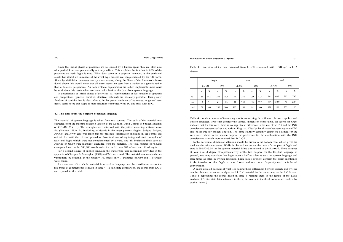Since the initial phases of processes are not caused by a human agent, they are often also of a gradual kind and perceptually not very salient. This explains the fact that in 80% of the processes the verb *begin* is used. What does come as a surprise, however, is the statistical result that almost all instances of the event type process are complemented by the TO form. Since by definition processes are dynamic events, along the lines of the framework introduced above this would mean that all these scenes are seen from a stative or a generic rather than a durative perspective. As both of these explanations are rather implausible more must be said about this result when we have had a look at the data from spoken language.

In descriptions of initial phases of activities, all combinations of foci (sudden or gradual) and perspectives (generic, durative, iterative, habitual) are basically possible. This greater freedom of combination is also reflected in the greater variance of the scores. A general tendency seems to be that *begin* is more naturally combined with TO and *start* with ING.

#### **4.2 The data from the corpora of spoken language**

Table 4: Overview of the data extracted from LL/CM contrasted with LOB (cf. table 2 above)

The material of spoken language is taken from two sources. The bulk of the material was extracted from the machine-readable version of the London-Lund Corpus of Spoken English on CD-ROM (LL). The examples were retrieved with the pattern matching software *Lexa Pat* (Hickey 1993). By including wildcards in the target patterns *(beg\*n, be\*gin, be\*gan, be\*gun,* and *st\*rt)* care was taken that the prosodic information included in the corpus did not interfere with the retrieval procedure. Nominal uses of *beginning* and *start,* examples of *start* and *begin* which were not complemented by a verb, and all irrelevant finds such as *begging* or *Stuart* were manually excluded from the material. The total number of relevant examples found in the 500,000 words collected in LL was 105 of *start* and 58 of *begin.* 

For a second source of spoken language the transcribed tape recordings provided in the appendix of Cheepen & Monaghan (1990) (=CM) were used. The material was searched conventionally by reading. In the roughly 100 pages only 7 examples of *start* and 1 of *begin*  were found.

An overview of the whole material from spoken language and the distribution across the two types of complements is given in table 4. To facilitate comparison, the scores from LOB are repeated in this table.

*Introspection and Computer Corpora* 231

|       | begin |      |     | start |       |      | total |      |       |      |     |      |
|-------|-------|------|-----|-------|-------|------|-------|------|-------|------|-----|------|
|       | LL/CM |      | LOB |       | LL/CM |      | LOB   |      | LL/CM |      | LOB |      |
|       | n     | %    | n   | %     | n     | %    | n     | %    | n     | %    | n   | %    |
| TO    | 56    | 94.9 | 256 | 91.4  | 28    | 25.0 | 39    | 42.4 | 84    | 49.1 | 295 | 79.3 |
| ING   | 3     | 5.1  | 24  | 8.6   | 84    | 75.0 | 53    | 57.6 | 87    | 50.9 | 77  | 20.7 |
| total | 59    | 100  | 280 | 100   | 112   | 100  | 92    | 100  | 171   | 100  | 372 | 100  |

Table 4 reveals a number of interesting results concerning the difference between spoken and written language. If we first consider the vertical dimension of the table, the scores for *begin*  indicate that for this verb, there is no significant difference in the use of the TO and the ING complement between spoken and written English. Clearly the alliance between *begin* and TO also holds true for spoken English. The same stability certainly cannot be claimed for the verb *start,* where in the spoken corpora the preference for the combination with the ING complement is much more marked than in LOB.

In the horizontal dimension attention should be drawn to the bottom row, which gives the total number of occurrences. While in the written corpus the ratio of examples of *begin* and *start* is 280:92=3.04, in the spoken material it has diminished to 59:112=0.52. If one assumes at least a mild degree of representativity of the two corpora for the English language in general, one may conclude that *begin* occurs half as often as *start* in spoken language and three times as often in written language. These ratios strongly confirm the claim mentioned in the introduction that *begin* is more formal and *start* more frequently used in informal conversation.

A more detailed account of what lies behind these differences between speech and writing can be obtained when we analyse the  $LL/CM$  material in the same way as the  $LOB$  data. Table 5 reproduces the scores given in table 3 relating them to the results of the LOB analysis. (To facilitate later reference to them, the scores in the third column are marked by capital letters.)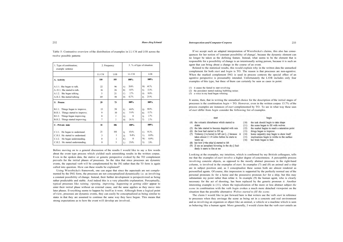Table 5: Contrastive overview of the distribution of examples in LL/C M and LOB across the twelve possible patterns

| 1. Type of combination;<br>example sentence | 2. Frequency |                | 3. % of type of situation   |                            |  |  |
|---------------------------------------------|--------------|----------------|-----------------------------|----------------------------|--|--|
|                                             | LL/CM        | LOB            | LL/CM                       | LOB                        |  |  |
| A. Activity                                 | 110          | 193            | 100%                        | 100%                       |  |  |
| A.I.1. She began to talk.                   | 22           | 96             | $20.0\%$<br>$\mathbf{A}$    | 49.7%<br>M                 |  |  |
| A.II.1. She started to talk.                | 16           | 26             | 14.5%<br>B)                 | 13.5%<br>N)                |  |  |
| A.1.2. She began talking.                   | 3            | 21             | 2.7%<br>$\mathcal{C}$       | 10.9%<br>(0)               |  |  |
| A.II.2. She started talking                 | 69           | 50             | 62.7%<br>D)                 | 25.9%<br>$P$ )             |  |  |
| <b>B.</b> Process                           | 29           | 73             | 100%                        | 100%                       |  |  |
| B.I.1. Things began to improve.             | 13           | 59             | 44.8%<br>E)                 | 80.8%<br>$\left( 0\right)$ |  |  |
| B.II.1. Things started to improve.          | 9            | 10             | 31.0%<br>F)                 | 13.7%<br>R)                |  |  |
| B.I.2. Things began improving.              | $\Omega$     | $\mathfrak{D}$ | $\Omega$<br>$\mathcal{G}$ ) | 2.7%<br>S                  |  |  |
| B.II.2. Things started improving.           | 7            | 2              | 24.1%<br>H                  | 2.7%<br>T)                 |  |  |
| C. Private state                            | 32           | 106            | 100%                        | 100%                       |  |  |
| C.I.1. He began to understand.              | 21           | 101            | 65.6%<br>$\mathbf{D}$       | 95.3%<br>U                 |  |  |
| C.II.I. He started to understand.           | 3            | 1              | 9.4%<br>J                   | $0.9\%$<br>V               |  |  |
| C.I.2. He began understanding.              | $\Omega$     | 1              | $\Omega$<br>K)              | $0.9\%$<br>W)              |  |  |
| C.II.2. He started understanding.           | 8            | 3              | 25.0%<br>L)                 | 2.8%<br>X)                 |  |  |

Before moving on to a general discussion of the results I would like to say a few words about the event type process which yielded such astonishing results in the written corpus. Even in the spoken data, the stative or generic perspective evoked by the TO complement prevails for the initial phases of processes. So the idea that since processes are dynamic events, the aspectual verb will be complemented by the ING rather than the TO form is again called into question. How can these results be explained?

Using Wierzbicka's framework, one can argue that since the aspectuals are not complemented by the ING form, the processes are not conceptualized dynamically i.e. as involving a constant possibility of change. Instead, their further development is perspectivized as being rather predictable and stable. And indeed this is a very plausible explanation. Perceptually, typical processes like *raining, ripening, improving, happening* or *getting older* appear to enter their initial phase without an external cause, and the same applies as they move into later phases. Everything seems to happen by itself as it were. Although from a logical point of view, processes are dynamic events, they can easily be conceptualized as being similar to states in that they are assumed to continue the same way they have begun. This means that strong expectations as to how the event will develop are involved.

If we accept such an adapted interpretation of Wierzbicka's claims, this also has consequences for her notion of 'constant possibility of change', because the dynamic element can no longer be taken as the defining feature. Instead, what seems to be the element that is responsible for a possibility of change is an intentionally acting person, because it is such an agent that can bring about a change in the course of an event.

Related to the statistical results, this would explain why in the written data the unmarked complement for both *start* and *begin* is TO. The reason is that processes are non-agentive. When the marked complement ING is used in process contexts the special effect of an agentive perspective is presumably intended. Unfortunately the LOB includes only four examples of this type, but three of them can certainly be seen as cases in point:

(1) it causes the fantail to start revolving

(2) the perculator started making bubbling noises

(3) a voice in my head began whining

It seems, then, that in writing the unmarked choice for the description of the initial stages of processes is the combination *begin* + TO. However, even in the written corpus 13.7% of the process examples are instances of *start* complemented by TO. To see in what way these uses of *start* differ from *begin* consider the following list of examples.

 $(11)$ 

 $(12)$ 

# start

#### (4) the volcanic disturbance which started to  $(10)$

- shake
- (5) the lake started to become dappled with rain
- (6) the boat had started to fill up
- $(13)$ (7) Trelawny [=a horse] is left out [...] because  $(14)$ takes almost 2 1/4 miles before he starts to  $(15)$ warm up
- (8) her bow [=the ship's] started to lift
- (9) [I see an aeroplane hovering in the sky.] Sud-
- 
- denly it starts to fire at me

Looking at the examples, my intuition, which is confirmed by my British colleagues, tells me that the examples of *start* involve a higher degree of concreteness. A perceptible process involving concrete objects, as opposed to the mostly abstract processes in the right-hand column, is involved in the examples of *start.* In examples (7) and (8) an animal and a ship are in subject position and, as I conceptualize these scenes both are almost rendered as personified agents. Of course, this impression is supported by the perfectly normal use of the personal pronouns *he* for a horse and the possessive pronoun *her* for a ship, but this may substantiate my point rather than refute it. In example (9) the human agent, who is clearly necessary for the act of shooting, has been replaced by the generic pronoun *it.* Another interesting example is (11), where the topicalization of the more or less abstract subject *the scene* in combination with the verb *begin* evokes a much more detached viewpoint on the situation than the possible alternative *Wolves started to fill the scene.* 

The claim I would like to put forward here is that writers use the verb *start* in reference to processes when they envisage the scene as being set in a concrete and real environment and as involving an organism or object like an animal, a vehicle or a machine which is seen as behaving like a human agent. More generally, I would claim that the verb *start* entails an

#### begin

the task should begin to take shape the scene began to fill with wolves the market begins to reach a saturation point

things began to improve home carpentry may begin to show itself implications begin to writhe to the surface

(16) her brain began to fade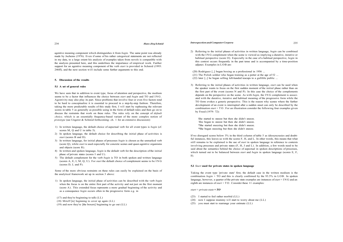We have seen that in addition to event type, focus of attention and perspective, the medium seems to be a factor that influences the choice between *start* and *begin* and TO and ING . Agentivity may also play its part. Since problems that involve four or even five factors tend to be hard to conceptualize it is essential to proceed in a step-by-step fashion. Therefore, taking the more predictable results of this study first, I will start by rephrasing the relevant scores in table 5 as generally as possible using in the form of default rules and then go on to discuss the restraints that work on these rules. The rules rely on the concept of *default choice,* which is an essentially frequency-based variant of the more complex notion of *prototype* (see Ungerer & Schmid forthcoming: ch. 1 for an extensive discussion):

agentive meaning component which distinguishes it from *begin.* The same point was already made by Jochems (1976). Even if some of his rather categorical statements are not reflected in my data, to a large extent his analysis of examples taken from novels is compatible with the analysis presented here, and this underlines the importance of empirical work. Further support for an agentive meaning component of the verb *start* is provided in Schmid (1993: 246ff), and the next section will include some further arguments to this end.

### **5. Discussion of the results**

#### **5.1 A set of general rules**

- 1) In written language, the default choice of aspectual verb for all event types is *begin* (cf. scores M, Q and U in table 5).
- 2) In spoken language, the default choice for describing the initial phase of activities is *start* (scores B and D).
- 3) In written language, for initial phases of processes *begin* is chosen as the unmarked verb (score Q), while *start* is used especially for concrete scenes and quasi-agentive organisms and objects (score R).
- 4) In written and spoken language, *begin* is the default verb for the description of the initial phase of private states (scores I and U).
- 5) The default complement for the verb *begin* is TO in both spoken and written language (scores A, E, I, M, Q, U). For *start* the default choice of complement seems to be IN G (scores D, L and P).

Some of the more obvious restraints on these rules can easily be explained on the basis of the analytical framework set up in section 3 above:

- 1) In spoken language, the initial phase of activities can be described with the verb *begin*  when the focus is on the entire first part of the activity and not just on the first moment (score A). This extended focus represents a more gradual beginning of the activity and as a consequence *begin* occurs often in the progressive form e.g. in
- (17) and they're beginning to talk (LL)
- (18) Miteff [is] beginning to cover up again (LL)
- (19) and now they're [the boxers] beginning to go out (LL)

2) Referring to the initial phases of activities in written language, *begin* can be combined with the IN G complement when the scene is viewed as implying a durative, iterative or habitual perspective (score O). Especially in the case of a habitual perspective, *begin* in this context occurs frequently in the past tense and is accompanied by a time-position adjunct. Examples in LOB are:

(20) Rodriguez [...] began boxing as a professional in 1956 ... (21) The Polish soldier who began training as a potter at the age of 52 ... (22) later [...] he began selling left-handed teacups to a gullible public ...

3) Referring to the initial phases of activities in written language, *start* can be used when the speaker wants to focus on the first sudden moment of the initial phase rather than on the first part of the event (scores N and P). In this case the choice of the complements depends on the perspective on the scene. As with *begin,* the IN G complement is associated with the durative, iterative and habitual meaning of the progressive form while the TO form evokes a generic perspective. This is the reason why scenes where the further development of an event is interrupted after a sudden onset can only be described by the combination *start* + TO . For an illustration consider the following four examples given by Freed (1979: 72):

She started to sneeze but then she didn't sneeze. ? She began to sneeze but then she didn't sneeze. \*She started sneezing but then she didn't sneeze. \*She began sneezing but then she didn't sneeze.

If we disregard scores below 3% in the third column of table 5 as idiosyncrasies and doubtful instances, this leaves us with the scores F, H, and L. In other words, this means that what still remains to be explained is the use of *start* in spoken language in reference to contexts involving processes and private states (F, H, J and L). In addition, a few words need to be said about the semantics behind the choice of aspectual in spoken descriptions of processes, which turned out to be balanced between *start* and *begin* in spoken language (scores E, F, H).

#### **5.2** *Start* **used for private states in spoken language**

Taking the event type 'private state' first, the default case in the written medium is the combination *begin* + TO and this is clearly confirmed by the 93.5% in LOB. In spoken language, however, a quarter of the private state examples are instances of *start* + IN G and an eighth are instances of *start* + TO . Consider these 11 examples:

#### *start + private state* **+** *TO*

- (23) I started to feel rather morbid (LL)
- (24) now I suppose mummy will start to worry about me (LL)
- (25) you must start to rearrange your estimate (LL)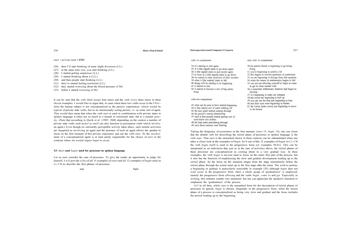35 if it [the signal] starts to go down again

36 it [the signal] starts to just recede again

40 things will be starting to be happening

42 it started to become a sort of big public

39 when it [the market] starts to fall

37 as soon as it [the signal] starts to go down 38 we started to clear ourselves of their troubles

with TO complement

41 it started to rain

thing

34 it's starting to rain again

# *start + private state* **+** *ING*

- (26) then I'll start thinking of some slight diversion (LL)
- (27) at the same time you, you start thinking (LL)
- (28) I started getting suspicious (LL)
- (29) I started thinking about it (LL)
- (30) and then people start thinking (LL)
- (31) they've started feeling territorial (LL)
- (32) they started worrying about the blood pressure (CM)
- (33) before I started worrying (CM)

Let us next consider the case of processes. To give the reader an opportunity to judge for himself, I will provide a list of all 15 examples of *start* and all 12 examples of *begin* used in LL/CM to describe the first phases of processes.

start

begin

# with ING complement 43 what can be seen to have started happening

44 it [the status] sort of starts rubbing off 45 the new grant started coming through 46 the pound's started plummeting 47 until it [the pound] started getting sort of well below two dollars 48 the heat starts percolating through

49 once those cameras start flashing

It can be seen that the verb *think* occurs four times and the verb *worry* three times in these eleven examples. I would like to argue that, in cases when these two verbs occur in the ING form the human subject is not conceptualized as the passive experiencer, which would be typical of private state verbs, but as an intentionally acting person, i.e. as some sort of agent. This would then mean that when the verb *start* is used in combination with private states in spoken language it refers not so much to a mental or emotional state, but to a mental activity. (Note that according to Quirk et al. (1985: 204f) depending on the context a number of private state verbs such as *feel* or *smell* can also function as perception verbs which involve an agent.) Even though no outwardly perceptible activity takes place, such mental activities are imagined as involving an agent and the presence of such an agent allows the speaker to focus on the first moment of this private experience and use the verb *start.* So the involvement of a conceptualized agent is at least partly responsible for the choice of *start* in the contexts where we would expect *begin* to occur.

#### **5.3** *Start* **and** *begin* **used for processes in spoken language**

All in all then, while *start* is the unmarked form for the description of initial phases of processes in speech, *begin* is chosen, frequently in the progressive form, when the initial phase of a process is conceptualized as being very slow and gradual and the focus includes the period leading up to the beginning.

only with TO complement

boing

- 
- 
- 
- 
- develop
- 
- 

57 it's beginning to make me unhappy 58 the crowd are beginning to boil up 59 you can see the heat just beginning to beat 60 and their eves were beginning to harden 61 the Union Jacks [were] just beginning to move in the breeze

- 
- 
- 
- 

50 the parish church is beginning to go boing

51 you're beginning to petrify a bit

52 this begins to involve questions of symbolism 53 we are beginning to diverge from this question 54 when the reason in mathematics begins to fail 55 you are not allowing yourself to begin to come to get in close contact with

56 a somewhat inflationary situation had begun to

Taking the frequency of occurrence as the first measure *{start* 15, *begin* 12), one can claim that the default verb for describing the initial phase of processes in spoken language is the verb *start.* That *start* is the unmarked choice in these contexts can be substantiated when one takes a closer look at the examples of *begin.* In 8 out of the 12 examples of *begin* in LL/C <sup>M</sup> the verb *begin* itself is used in the progressive form (cf. examples 50-61). This can be interpreted as an indication that, just as in the case of activities above, the initial phases of these processes are conceptualized as coming about in a very gradual way. In these examples, the verb *begin* is not just used to focus on the entire first part of the process, but it also has the function of emphasizing the slow and gradual development leading up to the initial phase. So the focus on the situation ranges from the stage immediately before the initial phase through the actual onset up to the first stage after the onset. The wish to portray a beginning as gradual is particularly noticeable in example (55) although *begin* does not even occur in the progressive form. Here a whole group of 'gradualizers' is employed, namely the progressive form *allowing* and the verbs *begin, come to* and *get.* Especially in writing, this sentence sounds very unnatural, but one can appreciate the speaker's intention to emphasize the 'gradualness' of the process.